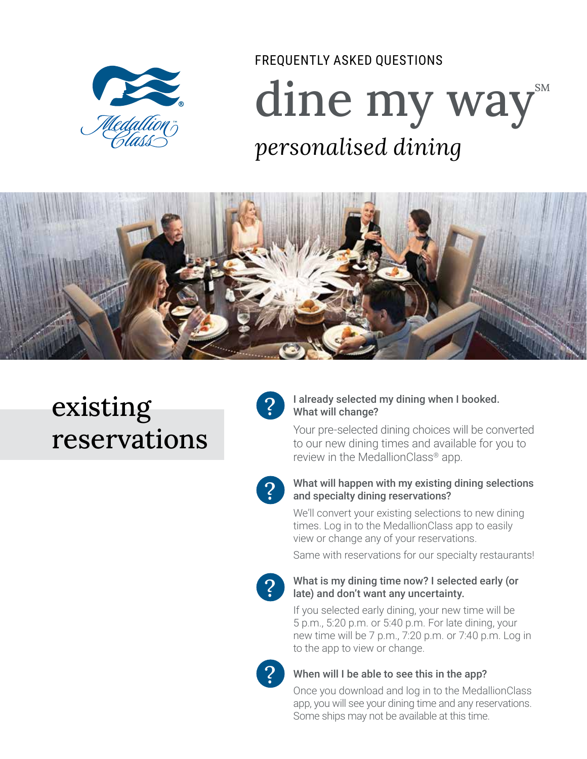

# dine my way FREQUENTLY ASKED QUESTIONS *personalised dining*



## existing reservations



#### I already selected my dining when I booked. What will change?

Your pre-selected dining choices will be converted to our new dining times and available for you to review in the MedallionClass® app.



#### What will happen with my existing dining selections and specialty dining reservations?

We'll convert your existing selections to new dining times. Log in to the MedallionClass app to easily view or change any of your reservations.

Same with reservations for our specialty restaurants!



#### What is my dining time now? I selected early (or late) and don't want any uncertainty.

If you selected early dining, your new time will be 5 p.m., 5:20 p.m. or 5:40 p.m. For late dining, your new time will be 7 p.m., 7:20 p.m. or 7:40 p.m. Log in to the app to view or change.



### When will I be able to see this in the app?

Once you download and log in to the MedallionClass app, you will see your dining time and any reservations. Some ships may not be available at this time.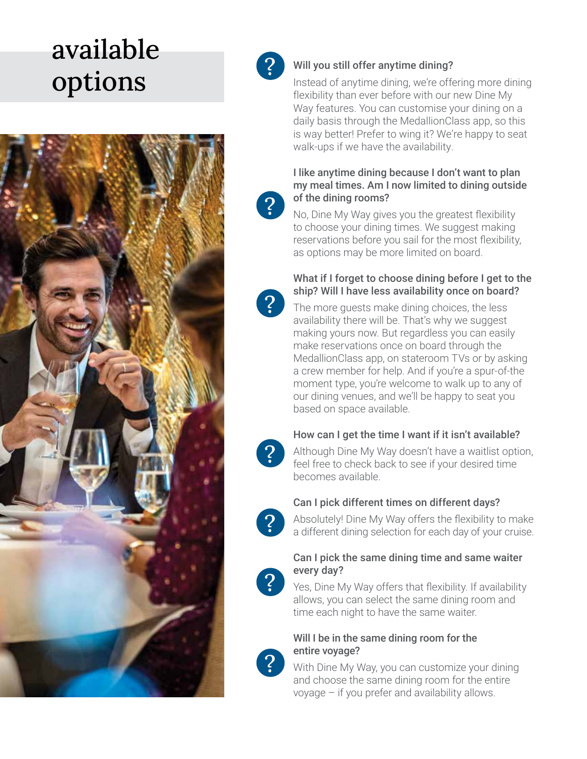## available **options**<br>
Will you still offer anytime dining?<br>
Instead of anytime dining, we're offer





Instead of anytime dining, we're offering more dining flexibility than ever before with our new Dine My Way features. You can customi se your dining on a daily basis through the MedallionClass app, so this is way better! Prefer to wing it? We're happy to seat walk-ups if we have the availability.

#### I like anytime dining because I don't want to plan my meal times. Am I now limited to dining outside of the dining rooms?

No, Dine My Way gives you the greatest flexibility to choose your dining times. We suggest making reservations before you sail for the most flexibility, as options may be more limited on board.

#### What if I forget to choose dining before I get to the ship? Will I have less availability once on board?

The more guests make dining choices, the less availability there will be. That's why we suggest making yours now. But regardless you can easily make reservations once on board through the MedallionClass app, on stateroom TVs or by asking a crew member for help. And if you're a spur-of-the moment type, you're welcome to walk up to any of our dining venues, and we'll be happy to seat you based o n space available.



 $|2|$ 

### How can I get the time I want if it isn't available?

Although Dine My Way doesn't have a waitlist option, feel free to check back to see if your desired time becomes available.



### Can I pick different times on different days?

Absolutely! Dine My Way offers the flexibility to make a different dining selection for each day of your cruise.



#### Can I pick the same dining time and same waiter every day?

Yes, Dine My Way offers that flexibility. If availability allows, you can select the same dining room and time each night to have the same waiter.



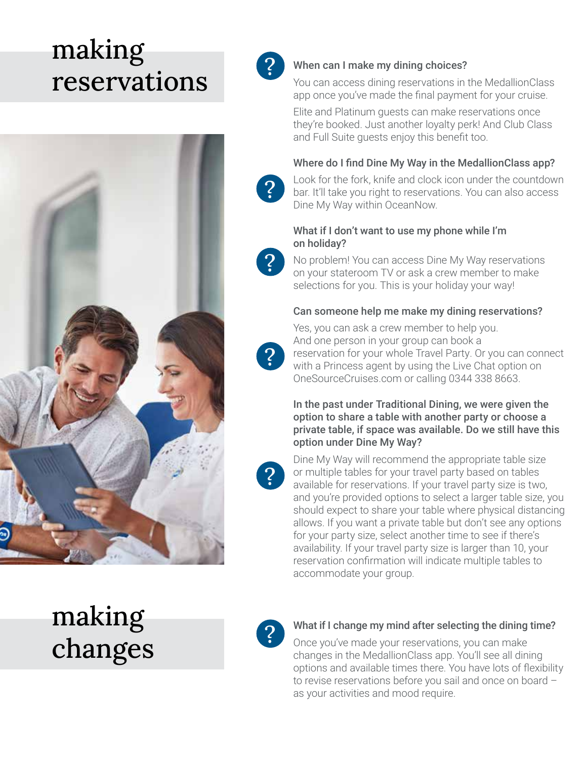## making **reservations**





## When can I make my dining choices?

You can access dining reservations in the MedallionClass app once you've made the final payment for your cruise.

Elite and Platinum guests can make reservations once they're booked. Just another loyalty perk! And Club Class and Full Suite guests enjoy this benefit too.

#### Where do I find Dine My Way in the MedallionClass app?

Look for the fork, knife and clock icon under the countdown bar. It'll take you right to reservations. You can also access Dine My Way within OceanNow.

#### What if I don't want to use my phone while I'm on holiday?



?

No problem! You can access Dine My Way reservations on your stateroom TV or ask a crew member to make selections for you. This is your holiday your way!

#### Can someone help me make my dining reservations?



Yes, you can ask a crew member to help you. And one person in your group can book a reservation for your whole Travel Party. Or you can connect with a Princess agent by using the Live Chat option on OneSourceCruises.com or calling 0344 338 8663.

In the past under Traditional Dining, we were given the option to share a table with another party or choose a private table, if space was available. Do we still have this option under Dine My Way?



Dine My Way will recommend the appropriate table size or multiple tables for your travel party based on tables available for reservations. If your travel party size is two, and you're provided options to select a larger table size, you should expect to share your table where physical distancing allows. If you want a private table but don't see any options for your party size, select another time to see if there's availability. If your travel party size is larger than 10, your reservation confirmation will indicate multiple tables to accommodate your group.

## making changes



### What if I change my mind after selecting the dining time?

Once you've made your reservations, you can make changes in the MedallionClass app. You'll see all dining options and available times there. You have lots of flexibility to revise reservations before you sail and once on board – as your activities and mood require.